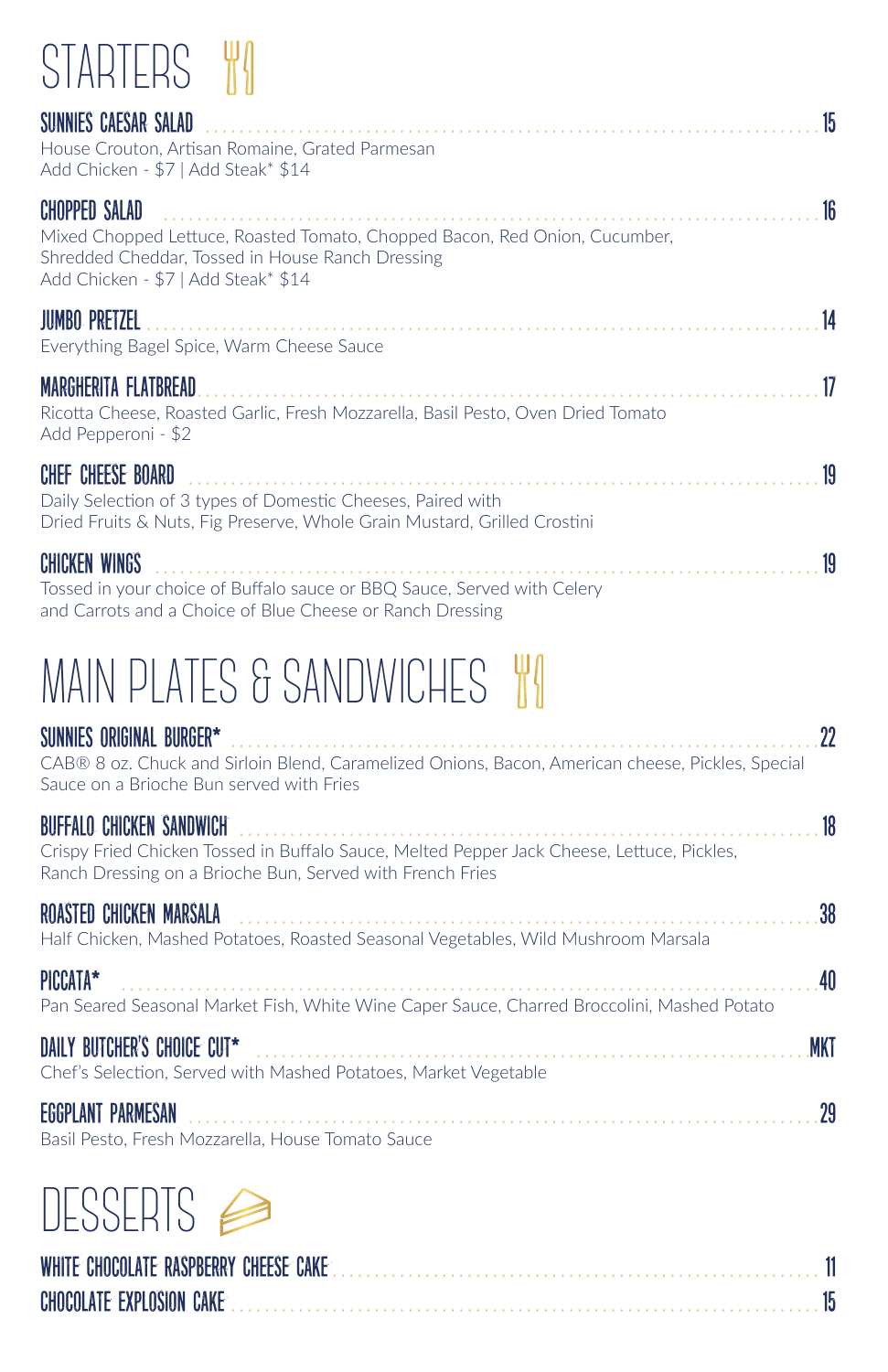## STARTERS W

| 15<br>SUNNIES CAESAR SALAD<br>House Crouton, Artisan Romaine, Grated Parmesan<br>Add Chicken - \$7   Add Steak* \$14                                                                                |
|-----------------------------------------------------------------------------------------------------------------------------------------------------------------------------------------------------|
| 16<br><b>CHOPPED SALAD</b><br>Mixed Chopped Lettuce, Roasted Tomato, Chopped Bacon, Red Onion, Cucumber,<br>Shredded Cheddar, Tossed in House Ranch Dressing<br>Add Chicken - \$7   Add Steak* \$14 |
| <b>JUMBO PRETZEL</b><br>14<br>Everything Bagel Spice, Warm Cheese Sauce                                                                                                                             |
| 17<br>MARGHERITA FLATBREAD<br>Ricotta Cheese, Roasted Garlic, Fresh Mozzarella, Basil Pesto, Oven Dried Tomato<br>Add Pepperoni - \$2                                                               |
| 19<br><b>CHEF CHEESE BOARD</b><br>Daily Selection of 3 types of Domestic Cheeses, Paired with<br>Dried Fruits & Nuts, Fig Preserve, Whole Grain Mustard, Grilled Crostini                           |
| 19<br><b>CHICKEN WINGS</b><br>Tossed in your choice of Buffalo sauce or BBQ Sauce, Served with Celery<br>and Carrots and a Choice of Blue Cheese or Ranch Dressing                                  |
| MAIN PLATES & SANDWICHES   WI                                                                                                                                                                       |
| 22<br>SUNNIES ORIGINAL BURGER*<br>CAB® 8 oz. Chuck and Sirloin Blend, Caramelized Onions, Bacon, American cheese, Pickles, Special<br>Sauce on a Brioche Bun served with Fries                      |
| 18<br><b>BUFFALO CHICKEN SANDWICH</b><br>Crispy Fried Chicken Tossed in Buffalo Sauce, Melted Pepper Jack Cheese, Lettuce, Pickles,<br>Ranch Dressing on a Brioche Bun, Served with French Fries    |
| 38<br>ROASTED CHICKEN MARSALA<br>Half Chicken, Mashed Potatoes, Roasted Seasonal Vegetables, Wild Mushroom Marsala                                                                                  |
| 40<br>PICCATA*<br>Pan Seared Seasonal Market Fish, White Wine Caper Sauce, Charred Broccolini, Mashed Potato                                                                                        |
| DAILY BUTCHER'S CHOICE CUT*<br>MKT<br>Chef's Selection, Served with Mashed Potatoes, Market Vegetable                                                                                               |

Eggplant Parmesan . . . . . . . . . . . . . . . . . . . . . . . . . . . . . . . . . . . . . . . . . . . . . . . . . . . . . . . . . . . . . . . . . . . . . . . . . . 29

Basil Pesto, Fresh Mozzarella, House Tomato Sauce

# DESSERTS<sup>1</sup>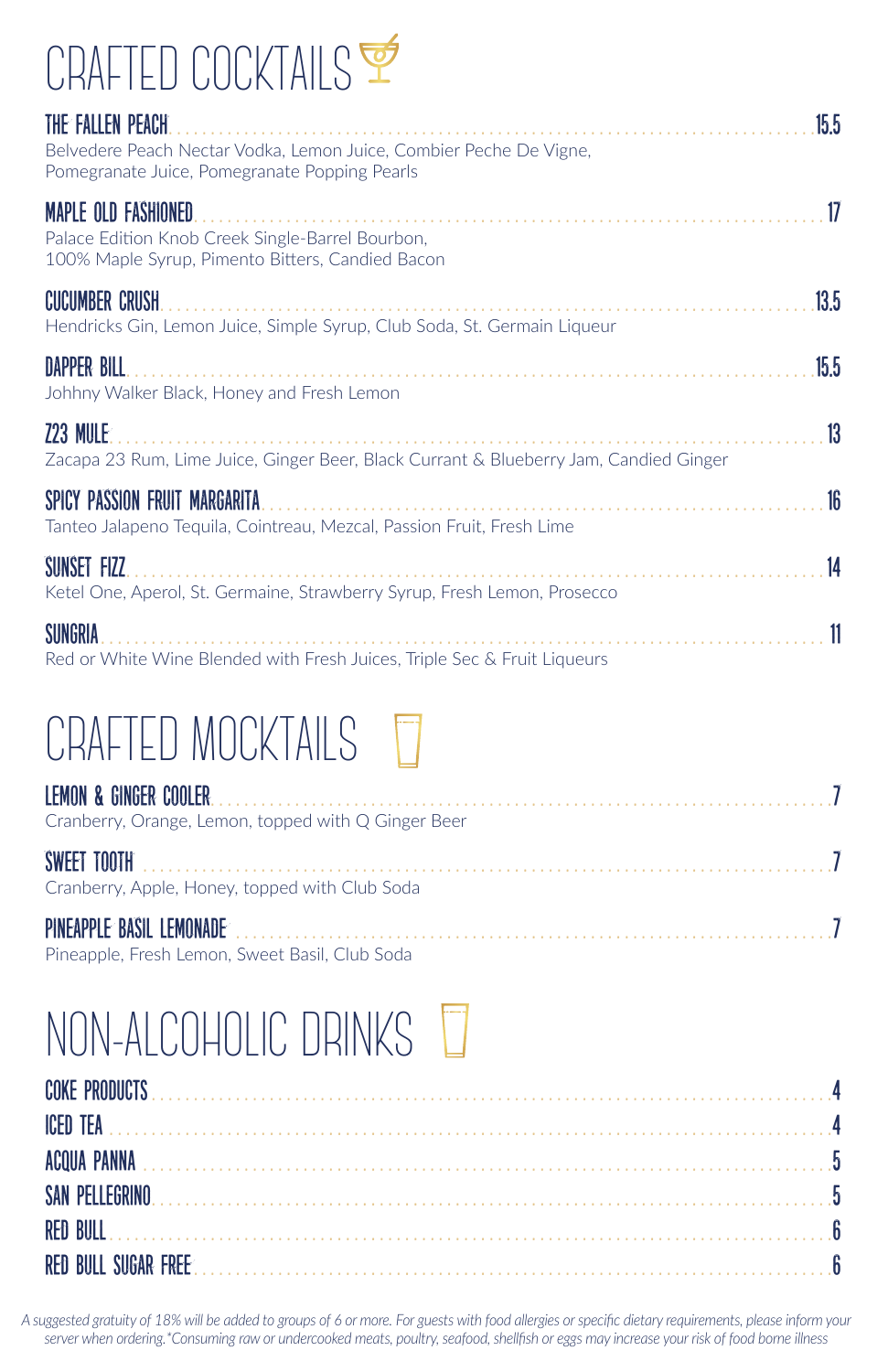## CRAFTED COCKTAILS

| THE FALLEN PEACH.<br>Belvedere Peach Nectar Vodka, Lemon Juice, Combier Peche De Vigne,<br>Pomegranate Juice, Pomegranate Popping Pearls | 15.5 |
|------------------------------------------------------------------------------------------------------------------------------------------|------|
| <b>MAPLE OLD FASHIONED</b><br>Palace Edition Knob Creek Single-Barrel Bourbon,<br>100% Maple Syrup, Pimento Bitters, Candied Bacon       | 17   |
| <b>CUCUMBER CRUSH</b><br>Hendricks Gin, Lemon Juice, Simple Syrup, Club Soda, St. Germain Liqueur                                        | 13.5 |
| <b>DAPPER BILL</b><br>Johhny Walker Black, Honey and Fresh Lemon                                                                         | 15.5 |
| <b>Z23 MULE:</b><br>Zacapa 23 Rum, Lime Juice, Ginger Beer, Black Currant & Blueberry Jam, Candied Ginger                                | 13   |
| SPICY PASSION FRUIT MARGARITA<br>Tanteo Jalapeno Teguila, Cointreau, Mezcal, Passion Fruit, Fresh Lime                                   | 16   |
| SUNSET FIZZ<br>Ketel One, Aperol, St. Germaine, Strawberry Syrup, Fresh Lemon, Prosecco                                                  | 14   |
| <b>SUNGRIA</b><br>Red or White Wine Blended with Fresh Juices, Triple Sec & Fruit Liqueurs                                               |      |

### CRAFTED MOCKTAILS **T**

| Cranberry, Orange, Lemon, topped with Q Ginger Beer |
|-----------------------------------------------------|
| Cranberry, Apple, Honey, topped with Club Soda      |
| Pineapple, Fresh Lemon, Sweet Basil, Club Soda      |

### NON-ALCOHOLIC DRINKS

*A suggested gratuity of 18% will be added to groups of 6 or more. For guests with food allergies or specific dietary requirements, please inform your server when ordering.\*Consuming raw or undercooked meats, poultry, seafood, shellfish or eggs may increase your risk of food borne illness*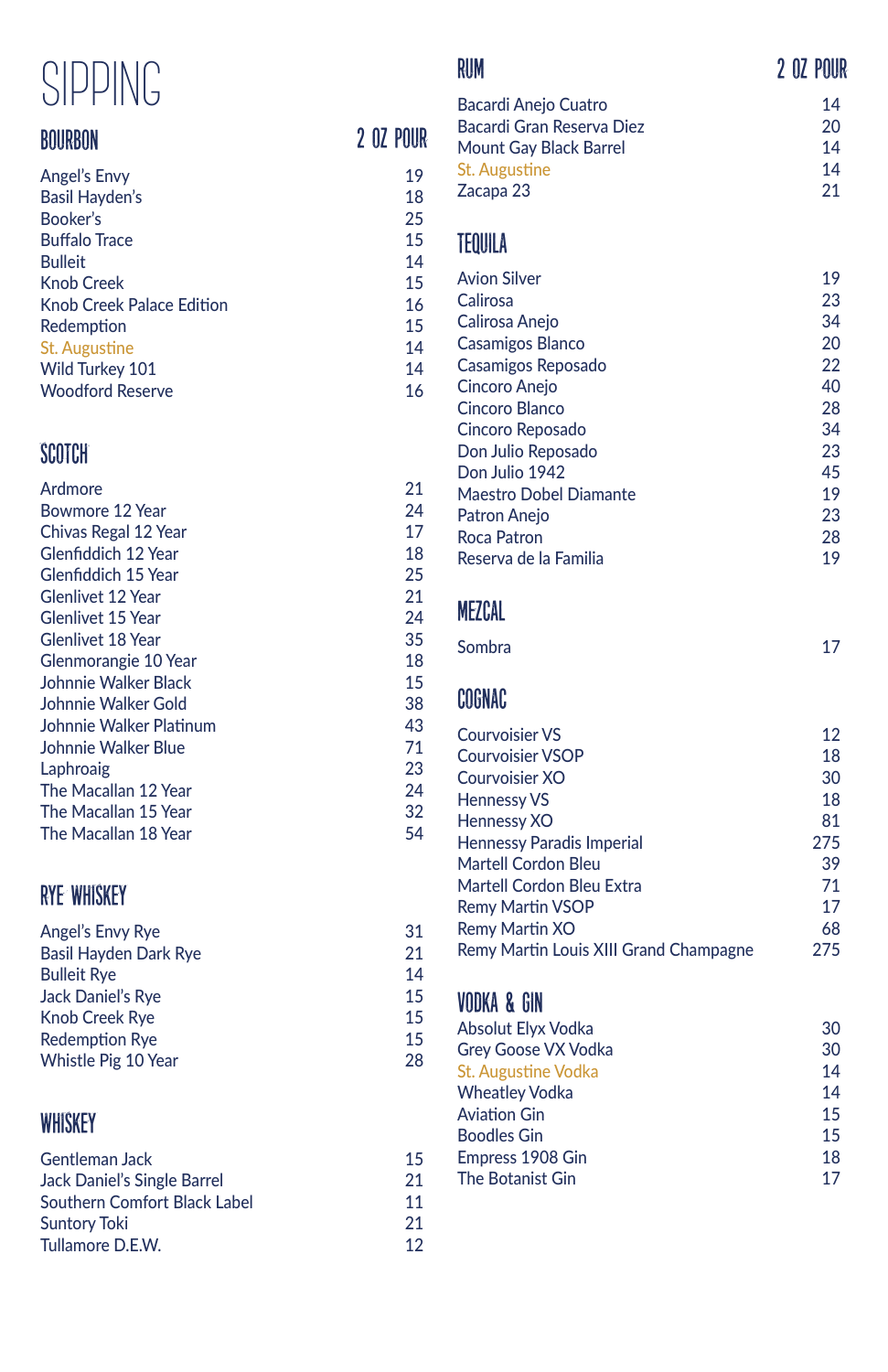### SIPPING

#### bourbon

| Angel's Envy                     | 19 |
|----------------------------------|----|
| <b>Basil Hayden's</b>            | 18 |
| Booker's                         | 25 |
| <b>Buffalo Trace</b>             | 15 |
| <b>Bulleit</b>                   | 14 |
| <b>Knob Creek</b>                | 15 |
| <b>Knob Creek Palace Edition</b> | 16 |
| Redemption                       | 15 |
| St. Augustine                    | 14 |
| Wild Turkey 101                  | 14 |
| <b>Woodford Reserve</b>          | 16 |
|                                  |    |

#### **SCOTCH**

| Ardmore                  | 21 |
|--------------------------|----|
| Bowmore 12 Year          | 24 |
| Chivas Regal 12 Year     | 17 |
| Glenfiddich 12 Year      | 18 |
| Glenfiddich 15 Year      | 25 |
| Glenlivet 12 Year        | 21 |
| <b>Glenlivet 15 Year</b> | 24 |
| Glenlivet 18 Year        | 35 |
| Glenmorangie 10 Year     | 18 |
| Johnnie Walker Black     | 15 |
| Johnnie Walker Gold      | 38 |
| Johnnie Walker Platinum  | 43 |
| Johnnie Walker Blue      | 71 |
| Laphroaig                | 23 |
| The Macallan 12 Year     | 24 |
| The Macallan 15 Year     | 32 |
| The Macallan 18 Year     | 54 |

#### rye whiskey

| Angel's Envy Rye             | 31 |
|------------------------------|----|
| <b>Basil Hayden Dark Rye</b> | 21 |
| <b>Bulleit Rye</b>           | 14 |
| <b>Jack Daniel's Rve</b>     | 15 |
| <b>Knob Creek Rve</b>        | 15 |
| <b>Redemption Rye</b>        | 15 |
| Whistle Pig 10 Year          | 28 |
|                              |    |

#### **WHISKEY**

| Gentleman Jack               | 15 |
|------------------------------|----|
| Jack Daniel's Single Barrel  | 21 |
| Southern Comfort Black Label | 11 |
| <b>Suntory Toki</b>          | 21 |
| Tullamore D.E.W.             | 12 |

#### rum

2 oz pour

#### 2 oz pour

| Bacardi Anejo Cuatro      | 14 |
|---------------------------|----|
| Bacardi Gran Reserva Diez | 20 |
| Mount Gay Black Barrel    | 14 |
| <b>St. Augustine</b>      | 14 |
| Zacapa 23                 | 21 |

#### tequila

| 19 |
|----|
| 23 |
| 34 |
| 20 |
| 22 |
| 40 |
| 28 |
| 34 |
| 23 |
| 45 |
| 19 |
| 23 |
| 28 |
| 19 |
|    |

#### mezcal

| <b>Sombra</b> |  |
|---------------|--|
|               |  |

#### cognac

| <b>Courvoisier VS</b>                  | 12  |
|----------------------------------------|-----|
| <b>Courvoisier VSOP</b>                | 18  |
| Courvoisier XO                         | 30  |
| <b>Hennessy VS</b>                     | 18  |
| <b>Hennessy XO</b>                     | 81  |
| <b>Hennessy Paradis Imperial</b>       | 275 |
| <b>Martell Cordon Bleu</b>             | 39  |
| Martell Cordon Bleu Extra              | 71  |
| <b>Remy Martin VSOP</b>                | 17  |
| Remy Martin XO                         | 68  |
| Remy Martin Louis XIII Grand Champagne | 275 |
|                                        |     |

#### vodka & gin

| Absolut Elyx Vodka         | 30 |
|----------------------------|----|
| <b>Grey Goose VX Vodka</b> | 30 |
| St. Augustine Vodka        | 14 |
| <b>Wheatley Vodka</b>      | 14 |
| <b>Aviation Gin</b>        | 15 |
| <b>Boodles Gin</b>         | 15 |
| Empress 1908 Gin           | 18 |
| The Botanist Gin           | 17 |
|                            |    |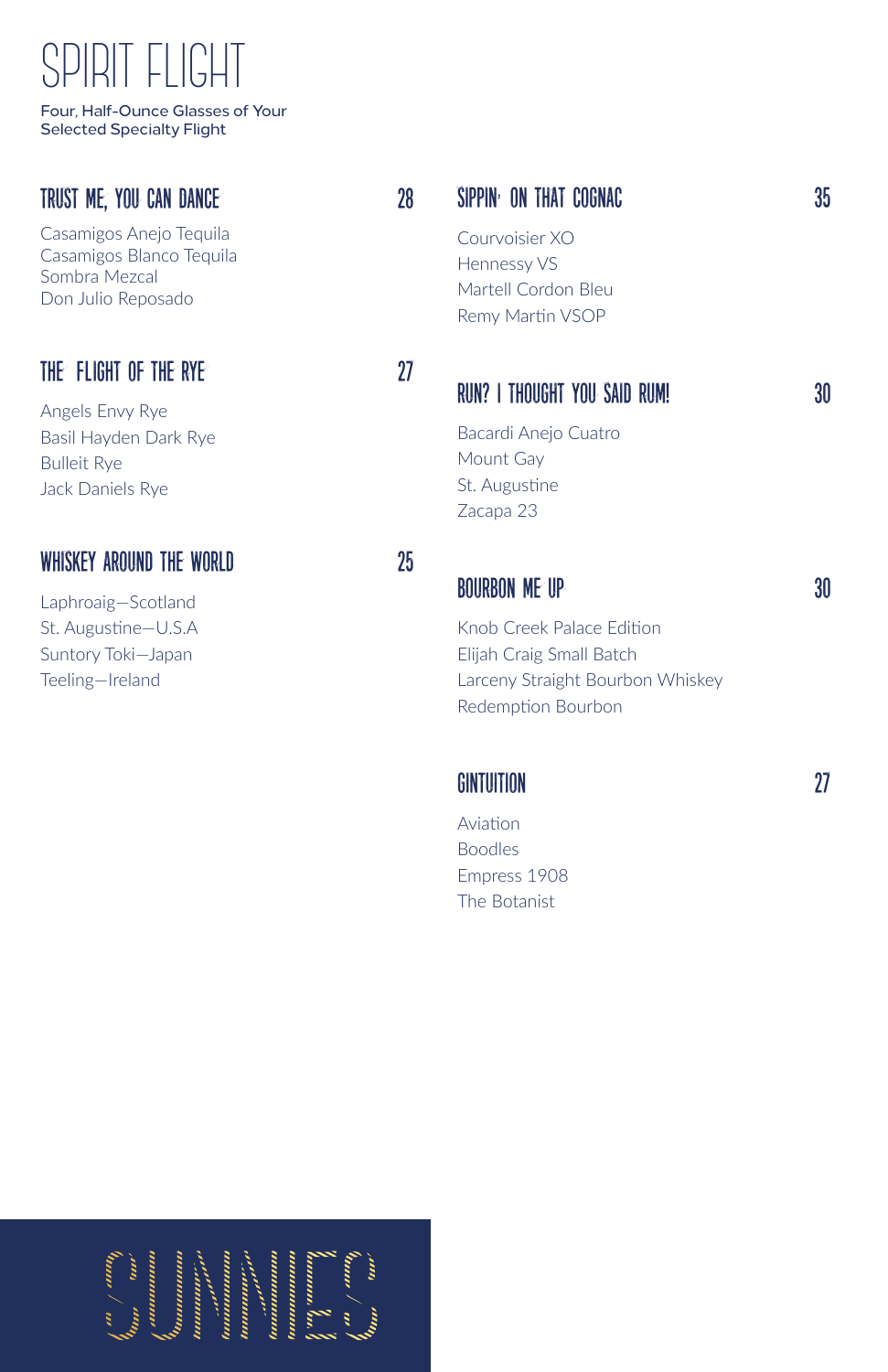### SPIRIT FLIGHT

Four, Half-Ounce Glasses of Your Selected Specialty Flight

#### trust me, you can dance 28

Casamigos Anejo Tequila Casamigos Blanco Tequila Sombra Mezcal Don Julio Reposado

#### THE FLIGHT OF THE RYE 27

Angels Envy Rye Basil Hayden Dark Rye Bulleit Rye Jack Daniels Rye

#### whiskey around the world 25

Laphroaig—Scotland St. Augustine—U.S.A Suntory Toki—Japan Teeling—Ireland

### SIPPIN<sup>,</sup> on that cognac 35

Courvoisier XO Hennessy VS Martell Cordon Bleu Remy Martin VSOP

#### run? i thought you said rum! 30

Bacardi Anejo Cuatro Mount Gay St. Augustine Zacapa 23

#### bourbon me up 30 series and 30 series and 30 series and 30 series and 30 series and 30 series and 30 series and 30 series and 30 series and 30 series and 30 series and 30 series and 30 series and 30 series and 30 series an

Knob Creek Palace Edition Elijah Craig Small Batch Larceny Straight Bourbon Whiskey Redemption Bourbon

#### gintuition 27

Aviation Boodles Empress 1908 The Botanist

,,,,,,,,,,,,,,,,, <u> Innoncono</u> ,,,,,,,,,,,,, ,,,,,,,,,,,,,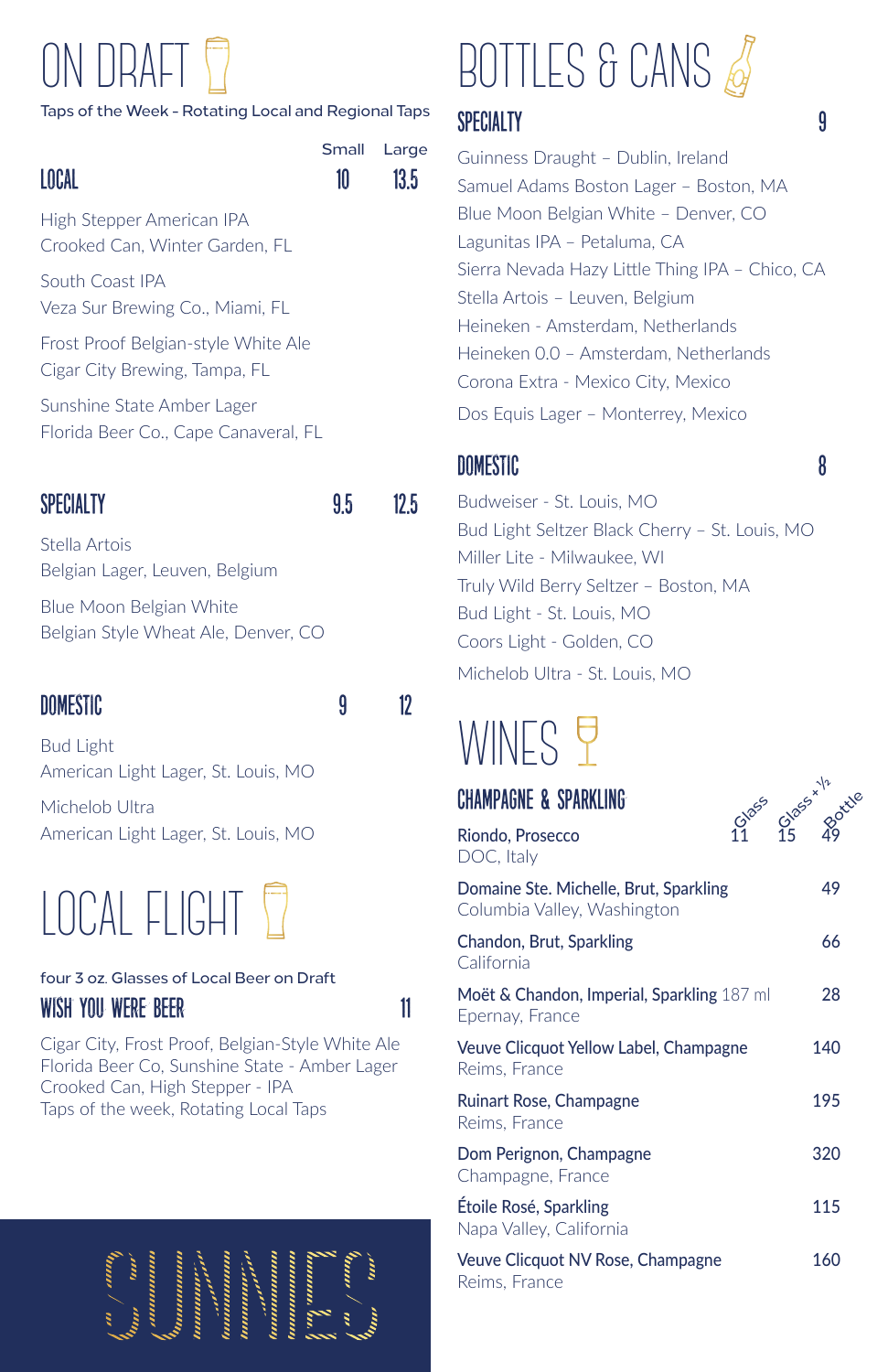## ON DRAFT

#### Taps of the Week - Rotating Local and Regional Taps



High Stepper American IPA Crooked Can, Winter Garden, FL

South Coast IPA Veza Sur Brewing Co., Miami, FL

Frost Proof Belgian-style White Ale Cigar City Brewing, Tampa, FL

Sunshine State Amber Lager Florida Beer Co., Cape Canaveral, FL

#### SPECIALTY 9.5 12.5

Stella Artois Belgian Lager, Leuven, Belgium

Blue Moon Belgian White Belgian Style Wheat Ale, Denver, CO

#### DOMESTIC 9 12

Bud Light American Light Lager, St. Louis, MO

Michelob Ultra American Light Lager, St. Louis, MO

### LOCAL FLIGHT

#### four 3 oz. Glasses of Local Beer on Draft wish you were beer 11

Cigar City, Frost Proof, Belgian-Style White Ale Florida Beer Co, Sunshine State - Amber Lager Crooked Can, High Stepper - IPA Taps of the week, Rotating Local Taps



# BOTTLES & CANS

#### SPECIALTY 9

Guinness Draught – Dublin, Ireland Samuel Adams Boston Lager – Boston, MA Blue Moon Belgian White – Denver, CO Lagunitas IPA – Petaluma, CA Sierra Nevada Hazy Little Thing IPA – Chico, CA Stella Artois – Leuven, Belgium Heineken - Amsterdam, Netherlands Heineken 0.0 – Amsterdam, Netherlands Corona Extra - Mexico City, Mexico Dos Equis Lager – Monterrey, Mexico

#### domestic 8

Budweiser - St. Louis, MO Bud Light Seltzer Black Cherry – St. Louis, MO Miller Lite - Milwaukee, WI Truly Wild Berry Seltzer – Boston, MA Bud Light - St. Louis, MO Coors Light - Golden, CO Michelob Ultra - St. Louis, MO

### WINES Y

| <b>CHAMPAGNE &amp; SPARKLING</b>                                      | Blass Blass 1/2 dete |
|-----------------------------------------------------------------------|----------------------|
| Riondo, Prosecco<br>DOC, Italy                                        |                      |
| Domaine Ste. Michelle, Brut, Sparkling<br>Columbia Valley, Washington | 49                   |
| Chandon, Brut, Sparkling<br>California                                | 66                   |
| Moët & Chandon, Imperial, Sparkling 187 ml<br>Epernay, France         | 28                   |
| Veuve Clicquot Yellow Label, Champagne<br>Reims, France               | 140                  |
| Ruinart Rose, Champagne<br>Reims, France                              | 195                  |
| Dom Perignon, Champagne<br>Champagne, France                          | 320                  |
| Étoile Rosé, Sparkling<br>Napa Valley, California                     | 115                  |
| Veuve Clicquot NV Rose, Champagne                                     | 160                  |

Reims, France